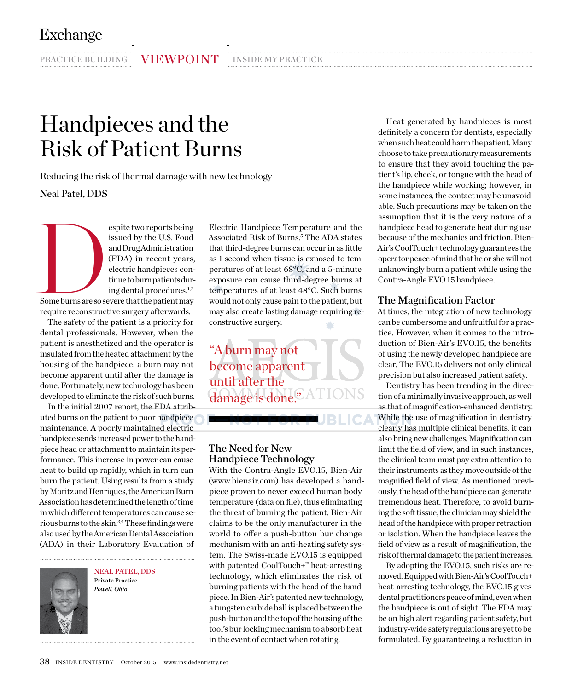PRACTICE BUILDING VIEWPOINT INSIDE MY PRACTICE

# Handpieces and the Risk of Patient Burns

Reducing the risk of thermal damage with new technology Neal Patel, DDS

Expite two reports being<br>
issued by the U.S. Food<br>
and Drug Administration<br>
(FDA) in recent years,<br>
electric handpieces con-<br>
time to burn patients during dental procedures.<sup>1,2</sup><br>
Some burns are so severe that the patient issued by the U.S. Food and Drug Administration (FDA) in recent years, electric handpieces continue to burn patients during dental procedures.<sup>1,2</sup>

Some burns are so severe that the patient may require reconstructive surgery afterwards.

The safety of the patient is a priority for dental professionals. However, when the patient is anesthetized and the operator is insulated from the heated attachment by the housing of the handpiece, a burn may not become apparent until after the damage is done. Fortunately, new technology has been developed to eliminate the risk of such burns.

In the initial 2007 report, the FDA attributed burns on the patient to poor handpiece maintenance. A poorly maintained electric handpiece sends increased power to the handpiece head or attachment to maintain its performance. This increase in power can cause heat to build up rapidly, which in turn can burn the patient. Using results from a study by Moritz and Henriques, the American Burn Association has determined the length of time in which different temperatures can cause serious burns to the skin.3,4These findings were also used by the American Dental Association (ADA) in their Laboratory Evaluation of



Neal Patel, DDS Private Practice *Powell, Ohio*

Electric Handpiece Temperature and the Associated Risk of Burns.5 The ADA states that third-degree burns can occur in as little as 1 second when tissue is exposed to temperatures of at least 68°C, and a 5-minute exposure can cause third-degree burns at temperatures of at least 48°C. Such burns would not only cause pain to the patient, but may also create lasting damage requiring reconstructive surgery.

"A burn may not become apparent until after the damage is done.<sup>2</sup> A

**BLIC/** 

## The Need for New Handpiece Technology

With the Contra-Angle EVO.15, Bien-Air (www.bienair.com) has developed a handpiece proven to never exceed human body temperature (data on file), thus eliminating the threat of burning the patient. Bien-Air claims to be the only manufacturer in the world to offer a push-button bur change mechanism with an anti-heating safety system. The Swiss-made EVO.15 is equipped with patented CoolTouch+™ heat-arresting technology, which eliminates the risk of burning patients with the head of the handpiece. In Bien-Air's patented new technology, a tungsten carbide ball is placed between the push-button and the top of the housing of the tool's bur locking mechanism to absorb heat in the event of contact when rotating.

Heat generated by handpieces is most definitely a concern for dentists, especially when such heat could harm the patient. Many choose to take precautionary measurements to ensure that they avoid touching the patient's lip, cheek, or tongue with the head of the handpiece while working; however, in some instances, the contact may be unavoidable. Such precautions may be taken on the assumption that it is the very nature of a handpiece head to generate heat during use because of the mechanics and friction. Bien-Air's CoolTouch+ technology guarantees the operator peace of mind that he or she will not unknowingly burn a patient while using the Contra-Angle EVO.15 handpiece.

#### The Magnification Factor

At times, the integration of new technology can be cumbersome and unfruitful for a practice. However, when it comes to the introduction of Bien-Air's EVO.15, the benefits of using the newly developed handpiece are clear. The EVO.15 delivers not only clinical precision but also increased patient safety.

Dentistry has been trending in the direction of a minimally invasive approach, as well as that of magnification-enhanced dentistry. While the use of magnification in dentistry clearly has multiple clinical benefits, it can also bring new challenges. Magnification can limit the field of view, and in such instances, the clinical team must pay extra attention to their instruments as they move outside of the magnified field of view. As mentioned previously, the head of the handpiece can generate tremendous heat. Therefore, to avoid burning the soft tissue, the clinician may shield the head of the handpiece with proper retraction or isolation. When the handpiece leaves the field of view as a result of magnification, the risk of thermal damage to the patient increases.

By adopting the EVO.15, such risks are removed. Equipped with Bien-Air's CoolTouch+ heat-arresting technology, the EVO.15 gives dental practitioners peace of mind, even when the handpiece is out of sight. The FDA may be on high alert regarding patient safety, but industry-wide safety regulations are yet to be formulated. By guaranteeing a reduction in